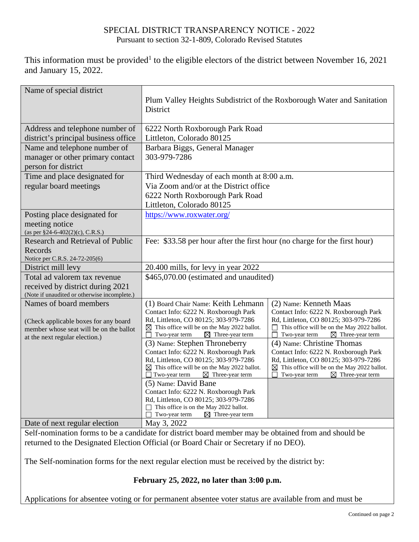## SPECIAL DISTRICT TRANSPARENCY NOTICE - 2022 Pursuant to section 32-1-809, Colorado Revised Statutes

This information must be provided<sup>1</sup> to the eligible electors of the district between November 16, 2021 and January 15, 2022.

| Name of special district                                                                                                                     | Plum Valley Heights Subdistrict of the Roxborough Water and Sanitation<br>District                                                                                                                                        |                                                                                                                                                                                                              |  |
|----------------------------------------------------------------------------------------------------------------------------------------------|---------------------------------------------------------------------------------------------------------------------------------------------------------------------------------------------------------------------------|--------------------------------------------------------------------------------------------------------------------------------------------------------------------------------------------------------------|--|
| Address and telephone number of<br>district's principal business office                                                                      | 6222 North Roxborough Park Road<br>Littleton, Colorado 80125                                                                                                                                                              |                                                                                                                                                                                                              |  |
| Name and telephone number of<br>manager or other primary contact<br>person for district                                                      | Barbara Biggs, General Manager<br>303-979-7286                                                                                                                                                                            |                                                                                                                                                                                                              |  |
| Time and place designated for                                                                                                                | Third Wednesday of each month at 8:00 a.m.                                                                                                                                                                                |                                                                                                                                                                                                              |  |
| regular board meetings                                                                                                                       | Via Zoom and/or at the District office                                                                                                                                                                                    |                                                                                                                                                                                                              |  |
|                                                                                                                                              | 6222 North Roxborough Park Road                                                                                                                                                                                           |                                                                                                                                                                                                              |  |
| Posting place designated for                                                                                                                 | Littleton, Colorado 80125<br>https://www.roxwater.org/                                                                                                                                                                    |                                                                                                                                                                                                              |  |
| meeting notice<br>(as per §24-6-402(2)(c), C.R.S.)                                                                                           |                                                                                                                                                                                                                           |                                                                                                                                                                                                              |  |
| <b>Research and Retrieval of Public</b>                                                                                                      | Fee: \$33.58 per hour after the first hour (no charge for the first hour)                                                                                                                                                 |                                                                                                                                                                                                              |  |
| Records                                                                                                                                      |                                                                                                                                                                                                                           |                                                                                                                                                                                                              |  |
| Notice per C.R.S. 24-72-205(6)                                                                                                               |                                                                                                                                                                                                                           |                                                                                                                                                                                                              |  |
| District mill levy                                                                                                                           | 20.400 mills, for levy in year 2022                                                                                                                                                                                       |                                                                                                                                                                                                              |  |
| Total ad valorem tax revenue                                                                                                                 | \$465,070.00 (estimated and unaudited)                                                                                                                                                                                    |                                                                                                                                                                                                              |  |
| received by district during 2021<br>(Note if unaudited or otherwise incomplete.)                                                             |                                                                                                                                                                                                                           |                                                                                                                                                                                                              |  |
| Names of board members<br>(Check applicable boxes for any board<br>member whose seat will be on the ballot<br>at the next regular election.) | (1) Board Chair Name: Keith Lehmann<br>Contact Info: 6222 N. Roxborough Park<br>Rd, Littleton, CO 80125; 303-979-7286<br>This office will be on the May 2022 ballot.<br>⊠<br>$\boxtimes$ Three-year term<br>Two-year term | (2) Name: Kenneth Maas<br>Contact Info: 6222 N. Roxborough Park<br>Rd, Littleton, CO 80125; 303-979-7286<br>This office will be on the May 2022 ballot.<br>Two-year term<br>$\boxtimes$ Three-year term<br>П |  |
|                                                                                                                                              | (3) Name: Stephen Throneberry                                                                                                                                                                                             | (4) Name: Christine Thomas                                                                                                                                                                                   |  |
|                                                                                                                                              | Contact Info: 6222 N. Roxborough Park<br>Rd, Littleton, CO 80125; 303-979-7286<br>$\boxtimes$ This office will be on the May 2022 ballot.<br>$\Box$ Two-year term<br>$\boxtimes$ Three-year term                          | Contact Info: 6222 N. Roxborough Park<br>Rd, Littleton, CO 80125; 303-979-7286<br>$\boxtimes$ This office will be on the May 2022 ballot.<br>Two-year term<br>$\boxtimes$ Three-year term                    |  |
|                                                                                                                                              | (5) Name: David Bane                                                                                                                                                                                                      |                                                                                                                                                                                                              |  |
|                                                                                                                                              | Contact Info: 6222 N. Roxborough Park<br>Rd, Littleton, CO 80125; 303-979-7286<br>This office is on the May 2022 ballot.<br>Two-year term<br>$\boxtimes$ Three-year term                                                  |                                                                                                                                                                                                              |  |
| Date of next regular election                                                                                                                | May 3, 2022                                                                                                                                                                                                               |                                                                                                                                                                                                              |  |
| $0.10 \pm 0.01$                                                                                                                              |                                                                                                                                                                                                                           | 11111                                                                                                                                                                                                        |  |

Self-nomination forms to be a candidate for district board member may be obtained from and should be returned to the Designated Election Official (or Board Chair or Secretary if no DEO).

The Self-nomination forms for the next regular election must be received by the district by:

## **February 25, 2022, no later than 3:00 p.m.**

Applications for absentee voting or for permanent absentee voter status are available from and must be